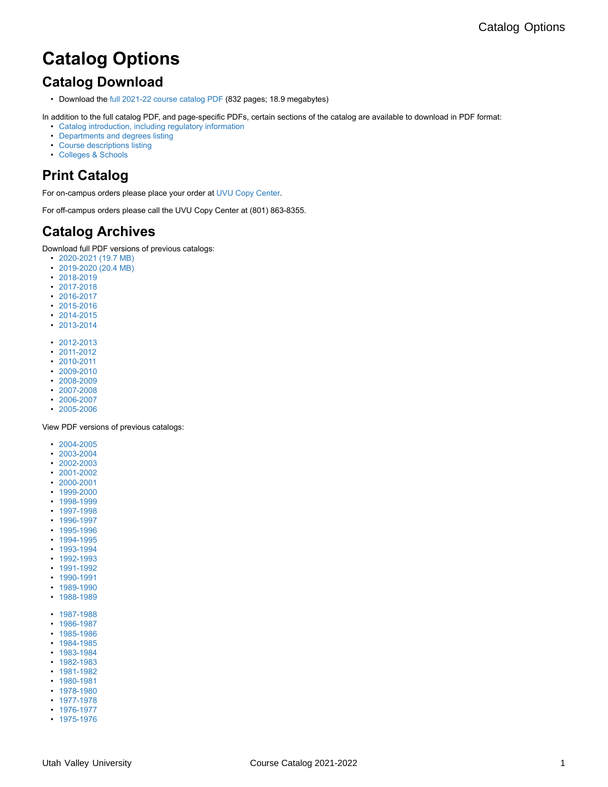# **Catalog Options**

## **Catalog Download**

• Download the [full 2021-22 course catalog PDF](http://www.uvu.edu/catalog/current/catalog.pdf) (832 pages; 18.9 megabytes)

In addition to the full catalog PDF, and page-specific PDFs, certain sections of the catalog are available to download in PDF format: • [Catalog introduction, including regulatory information](http://www.uvu.edu/catalog/current/policies-requirements/index.full.pdf)

- [Departments and degrees listing](http://www.uvu.edu/catalog/current/departments/index.pdf)
- [Course descriptions listing](http://www.uvu.edu/catalog/current/courses/index.pdf)
- [Colleges & Schools](http://www.uvu.edu/catalog/current/colleges-schools/index.full.pdf)

## **Print Catalog**

For on-campus orders please place your order at [UVU Copy Center](http://printing.uvu.edu/copycenter).

For off-campus orders please call the UVU Copy Center at (801) 863-8355.

#### **Catalog Archives**

Download full PDF versions of previous catalogs:

- [2020-2021 \(19.7 MB\)](https://www.uvu.edu/catalog/current/https://www.uvu.edu/catalog/docs/catalog-2020-2021.pdf)
- [2019-2020 \(20.4 MB\)](https://www.uvu.edu/catalog/current/https://www.uvu.edu/catalog/docs/catalog-2019-2020.pdf)
- [2018-2019](https://www.uvu.edu/catalog/current/https://www.uvu.edu/catalog/docs/catalog-2018-19.pdf)
- [2017-2018](https://www.uvu.edu/catalog/current/https://www.uvu.edu/catalog/docs/catalog2017-18.pdf)
- [2016-2017](https://www.uvu.edu/catalog/current/https://www.uvu.edu/catalog/docs/catalog2016-17.pdf)
- [2015-2016](https://www.uvu.edu/catalog/current/https://www.uvu.edu/catalog/docs/catalog2015-16.pdf) • [2014-2015](https://www.uvu.edu/catalog/current/https://www.uvu.edu/catalog/docs/course-catalog-2014-15.pdf)
- [2013-2014](https://www.uvu.edu/catalog/current/https://www.uvu.edu/catalog/docs/catalog_2013-2014.pdf)
- [2012-2013](https://www.uvu.edu/catalog/current/https://www.uvu.edu/catalog/docs/2012-2013/catalog_12-13.pdf)
- [2011-2012](https://www.uvu.edu/catalog/current/https://www.uvu.edu/catalog/docs/2011-2012/catalog_11-12.pdf)
- [2010-2011](https://www.uvu.edu/catalog/current/https://www.uvu.edu/catalog/docs/2010-2011/catalog_10_11.pdf)
- [2009-2010](https://www.uvu.edu/catalog/current/https://www.uvu.edu/catalog/docs/2009-2010/catalog_09_10.pdf)
- [2008-2009](https://www.uvu.edu/catalog/current/https://www.uvu.edu/catalog/docs/2008-2009/catalog_08_09.pdf)
- [2007-2008](https://www.uvu.edu/catalog/current/https://www.uvu.edu/catalog/docs/2007-2008/catalog_07_08.pdf)
- [2006-2007](https://www.uvu.edu/catalog/current/https://www.uvu.edu/catalog/docs/2006-2007/06_07_catalog.pdf)
- [2005-2006](https://www.uvu.edu/catalog/current/https://www.uvu.edu/catalog/docs/2005-2006/05-06_catalog.pdf)

View PDF versions of previous catalogs:

- [2004-2005](https://www.uvu.edu/catalog/current/https://uvu.contentdm.oclc.org/digital/collection/cats/id/3157)
- [2003-2004](https://www.uvu.edu/catalog/current/https://uvu.contentdm.oclc.org/digital/collection/cats/id/1152)
- [2002-2003](https://www.uvu.edu/catalog/current/https://uvu.contentdm.oclc.org/digital/collection/cats/id/1458)
- [2001-2002](https://www.uvu.edu/catalog/current/https://uvu.contentdm.oclc.org/digital/collection/cats/id/1772)
- [2000-2001](https://www.uvu.edu/catalog/current/https://uvu.contentdm.oclc.org/digital/collection/cats/id/324)
- [1999-2000](https://www.uvu.edu/catalog/current/https://uvu.contentdm.oclc.org/digital/collection/cats/id/2304)
- [1998-1999](https://www.uvu.edu/catalog/current/https://uvu.contentdm.oclc.org/digital/collection/cats/id/806)
- [1997-1998](https://www.uvu.edu/catalog/current/https://uvu.contentdm.oclc.org/digital/collection/cats/id/2022)
- [1996-1997](https://www.uvu.edu/catalog/current/https://uvu.contentdm.oclc.org/digital/collection/cats/id/548)
- [1995-1996](https://www.uvu.edu/catalog/current/https://uvu.contentdm.oclc.org/digital/collection/cats/id/2789) • [1994-1995](https://www.uvu.edu/catalog/current/https://uvu.contentdm.oclc.org/digital/collection/cats/id/2553)
- [1993-1994](https://www.uvu.edu/catalog/current/https://uvu.contentdm.oclc.org/digital/collection/cats/id/8122)
- [1992-1993](https://www.uvu.edu/catalog/current/https://uvu.contentdm.oclc.org/digital/collection/cats/id/7178)
- [1991-1992](https://www.uvu.edu/catalog/current/https://uvu.contentdm.oclc.org/digital/collection/cats/id/7354)
- [1990-1991](https://www.uvu.edu/catalog/current/https://uvu.contentdm.oclc.org/digital/collection/cats/id/7536)
- [1989-1990](https://www.uvu.edu/catalog/current/https://uvu.contentdm.oclc.org/digital/collection/cats/id/6972)
- [1988-1989](https://www.uvu.edu/catalog/current/https://uvu.contentdm.oclc.org/digital/collection/cats/id/6798)
- 
- [1987-1988](https://www.uvu.edu/catalog/current/https://uvu.contentdm.oclc.org/digital/collection/cats/id/7907) • [1986-1987](https://www.uvu.edu/catalog/current/https://uvu.contentdm.oclc.org/digital/collection/cats/id/6050)
- [1985-1986](https://www.uvu.edu/catalog/current/https://uvu.contentdm.oclc.org/digital/collection/cats/id/6228)
- [1984-1985](https://www.uvu.edu/catalog/current/https://uvu.contentdm.oclc.org/digital/collection/cats/id/6454)
- [1983-1984](https://www.uvu.edu/catalog/current/https://uvu.contentdm.oclc.org/digital/collection/cats/id/7681)
- [1982-1983](https://www.uvu.edu/catalog/current/https://uvu.contentdm.oclc.org/digital/collection/cats/id/5614)
- [1981-1982](https://www.uvu.edu/catalog/current/https://uvu.contentdm.oclc.org/digital/collection/cats/id/6632)
- [1980-1981](https://www.uvu.edu/catalog/current/https://uvu.contentdm.oclc.org/digital/collection/cats/id/5824)
- [1978-1980](https://www.uvu.edu/catalog/current/https://uvu.contentdm.oclc.org/digital/collection/cats/id/5436)
- [1977-1978](https://www.uvu.edu/catalog/current/https://uvu.contentdm.oclc.org/digital/collection/cats/id/4194)
- [1976-1977](https://www.uvu.edu/catalog/current/https://uvu.contentdm.oclc.org/digital/collection/cats/id/4806) • [1975-1976](https://www.uvu.edu/catalog/current/https://uvu.contentdm.oclc.org/digital/collection/cats/id/4504)